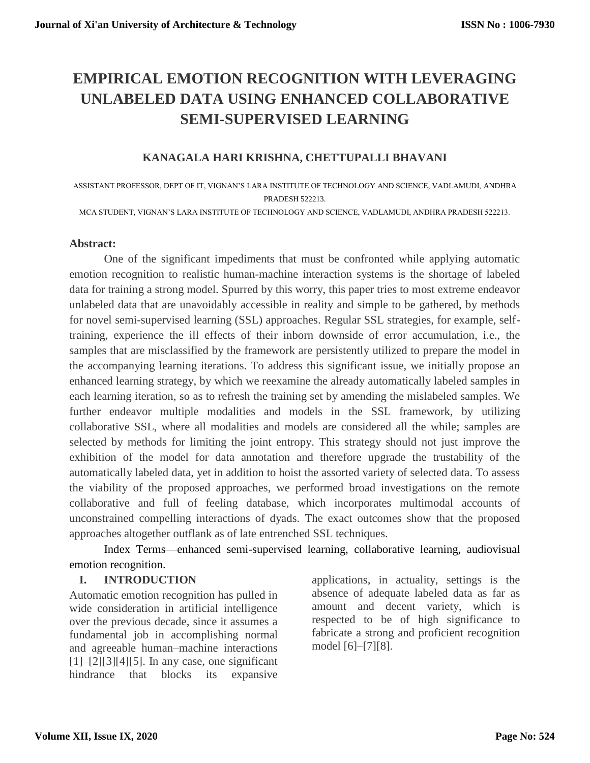# **EMPIRICAL EMOTION RECOGNITION WITH LEVERAGING UNLABELED DATA USING ENHANCED COLLABORATIVE SEMI-SUPERVISED LEARNING**

# **KANAGALA HARI KRISHNA, CHETTUPALLI BHAVANI**

ASSISTANT PROFESSOR, DEPT OF IT, VIGNAN'S LARA INSTITUTE OF TECHNOLOGY AND SCIENCE, VADLAMUDI, ANDHRA PRADESH 522213.

MCA STUDENT, VIGNAN'S LARA INSTITUTE OF TECHNOLOGY AND SCIENCE, VADLAMUDI, ANDHRA PRADESH 522213.

## **Abstract:**

One of the significant impediments that must be confronted while applying automatic emotion recognition to realistic human-machine interaction systems is the shortage of labeled data for training a strong model. Spurred by this worry, this paper tries to most extreme endeavor unlabeled data that are unavoidably accessible in reality and simple to be gathered, by methods for novel semi-supervised learning (SSL) approaches. Regular SSL strategies, for example, selftraining, experience the ill effects of their inborn downside of error accumulation, i.e., the samples that are misclassified by the framework are persistently utilized to prepare the model in the accompanying learning iterations. To address this significant issue, we initially propose an enhanced learning strategy, by which we reexamine the already automatically labeled samples in each learning iteration, so as to refresh the training set by amending the mislabeled samples. We further endeavor multiple modalities and models in the SSL framework, by utilizing collaborative SSL, where all modalities and models are considered all the while; samples are selected by methods for limiting the joint entropy. This strategy should not just improve the exhibition of the model for data annotation and therefore upgrade the trustability of the automatically labeled data, yet in addition to hoist the assorted variety of selected data. To assess the viability of the proposed approaches, we performed broad investigations on the remote collaborative and full of feeling database, which incorporates multimodal accounts of unconstrained compelling interactions of dyads. The exact outcomes show that the proposed approaches altogether outflank as of late entrenched SSL techniques.

Index Terms—enhanced semi-supervised learning, collaborative learning, audiovisual emotion recognition.

## **I. INTRODUCTION**

Automatic emotion recognition has pulled in wide consideration in artificial intelligence over the previous decade, since it assumes a fundamental job in accomplishing normal and agreeable human–machine interactions  $[1]$ – $[2]$  $[3]$  $[4]$  $[5]$ . In any case, one significant hindrance that blocks its expansive

applications, in actuality, settings is the absence of adequate labeled data as far as amount and decent variety, which is respected to be of high significance to fabricate a strong and proficient recognition model [6]–[7][8].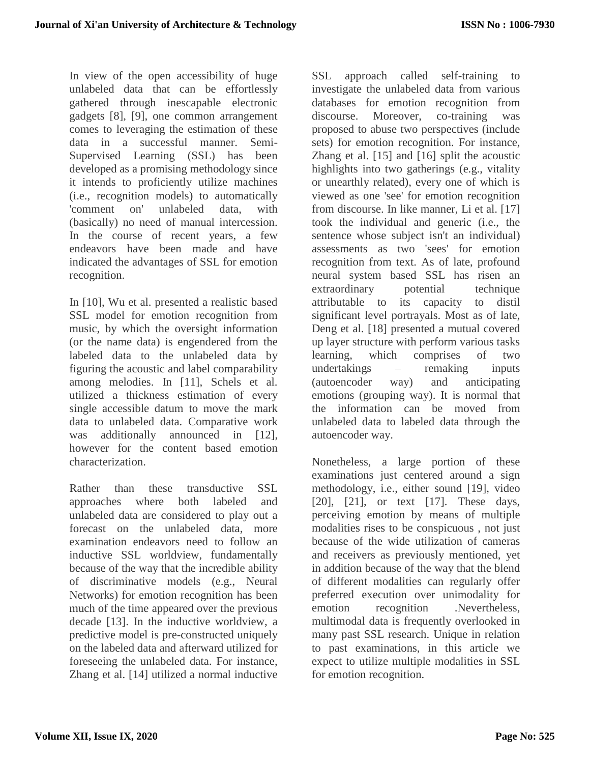In view of the open accessibility of huge unlabeled data that can be effortlessly gathered through inescapable electronic gadgets [8], [9], one common arrangement comes to leveraging the estimation of these data in a successful manner. Semi-Supervised Learning (SSL) has been developed as a promising methodology since it intends to proficiently utilize machines (i.e., recognition models) to automatically 'comment on' unlabeled data, with (basically) no need of manual intercession. In the course of recent years, a few endeavors have been made and have indicated the advantages of SSL for emotion recognition.

In [10], Wu et al. presented a realistic based SSL model for emotion recognition from music, by which the oversight information (or the name data) is engendered from the labeled data to the unlabeled data by figuring the acoustic and label comparability among melodies. In [11], Schels et al. utilized a thickness estimation of every single accessible datum to move the mark data to unlabeled data. Comparative work was additionally announced in [12], however for the content based emotion characterization.

Rather than these transductive SSL approaches where both labeled and unlabeled data are considered to play out a forecast on the unlabeled data, more examination endeavors need to follow an inductive SSL worldview, fundamentally because of the way that the incredible ability of discriminative models (e.g., Neural Networks) for emotion recognition has been much of the time appeared over the previous decade [13]. In the inductive worldview, a predictive model is pre-constructed uniquely on the labeled data and afterward utilized for foreseeing the unlabeled data. For instance, Zhang et al. [14] utilized a normal inductive

SSL approach called self-training to investigate the unlabeled data from various databases for emotion recognition from discourse. Moreover, co-training was proposed to abuse two perspectives (include sets) for emotion recognition. For instance, Zhang et al. [15] and [16] split the acoustic highlights into two gatherings (e.g., vitality or unearthly related), every one of which is viewed as one 'see' for emotion recognition from discourse. In like manner, Li et al. [17] took the individual and generic (i.e., the sentence whose subject isn't an individual) assessments as two 'sees' for emotion recognition from text. As of late, profound neural system based SSL has risen an extraordinary potential technique attributable to its capacity to distil significant level portrayals. Most as of late, Deng et al. [18] presented a mutual covered up layer structure with perform various tasks learning, which comprises of two undertakings – remaking inputs (autoencoder way) and anticipating emotions (grouping way). It is normal that the information can be moved from unlabeled data to labeled data through the autoencoder way.

Nonetheless, a large portion of these examinations just centered around a sign methodology, i.e., either sound [19], video [20], [21], or text [17]. These days, perceiving emotion by means of multiple modalities rises to be conspicuous , not just because of the wide utilization of cameras and receivers as previously mentioned, yet in addition because of the way that the blend of different modalities can regularly offer preferred execution over unimodality for emotion recognition .Nevertheless, multimodal data is frequently overlooked in many past SSL research. Unique in relation to past examinations, in this article we expect to utilize multiple modalities in SSL for emotion recognition.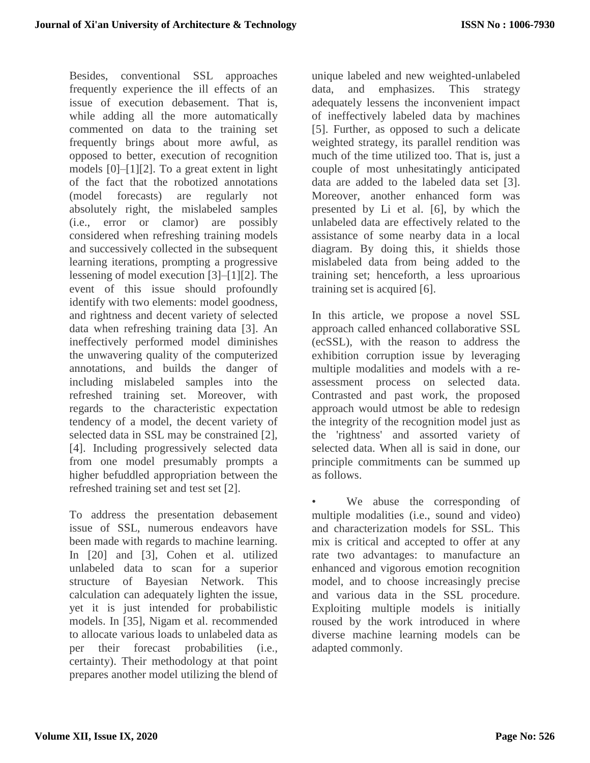Besides, conventional SSL approaches frequently experience the ill effects of an issue of execution debasement. That is, while adding all the more automatically commented on data to the training set frequently brings about more awful, as opposed to better, execution of recognition models [0]–[1][2]. To a great extent in light of the fact that the robotized annotations (model forecasts) are regularly not absolutely right, the mislabeled samples (i.e., error or clamor) are possibly considered when refreshing training models and successively collected in the subsequent learning iterations, prompting a progressive lessening of model execution [3]–[1][2]. The event of this issue should profoundly identify with two elements: model goodness, and rightness and decent variety of selected data when refreshing training data [3]. An ineffectively performed model diminishes the unwavering quality of the computerized annotations, and builds the danger of including mislabeled samples into the refreshed training set. Moreover, with regards to the characteristic expectation tendency of a model, the decent variety of selected data in SSL may be constrained [2], [4]. Including progressively selected data from one model presumably prompts a higher befuddled appropriation between the refreshed training set and test set [2].

To address the presentation debasement issue of SSL, numerous endeavors have been made with regards to machine learning. In [20] and [3], Cohen et al. utilized unlabeled data to scan for a superior structure of Bayesian Network. This calculation can adequately lighten the issue, yet it is just intended for probabilistic models. In [35], Nigam et al. recommended to allocate various loads to unlabeled data as per their forecast probabilities (i.e., certainty). Their methodology at that point prepares another model utilizing the blend of

unique labeled and new weighted-unlabeled data, and emphasizes. This strategy adequately lessens the inconvenient impact of ineffectively labeled data by machines [5]. Further, as opposed to such a delicate weighted strategy, its parallel rendition was much of the time utilized too. That is, just a couple of most unhesitatingly anticipated data are added to the labeled data set [3]. Moreover, another enhanced form was presented by Li et al. [6], by which the unlabeled data are effectively related to the assistance of some nearby data in a local diagram. By doing this, it shields those mislabeled data from being added to the training set; henceforth, a less uproarious training set is acquired [6].

In this article, we propose a novel SSL approach called enhanced collaborative SSL (ecSSL), with the reason to address the exhibition corruption issue by leveraging multiple modalities and models with a reassessment process on selected data. Contrasted and past work, the proposed approach would utmost be able to redesign the integrity of the recognition model just as the 'rightness' and assorted variety of selected data. When all is said in done, our principle commitments can be summed up as follows.

We abuse the corresponding of multiple modalities (i.e., sound and video) and characterization models for SSL. This mix is critical and accepted to offer at any rate two advantages: to manufacture an enhanced and vigorous emotion recognition model, and to choose increasingly precise and various data in the SSL procedure. Exploiting multiple models is initially roused by the work introduced in where diverse machine learning models can be adapted commonly.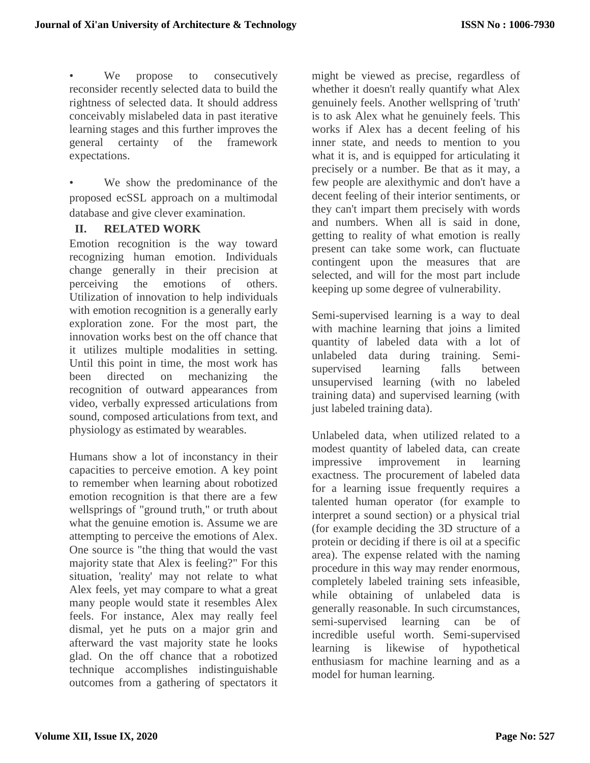We propose to consecutively reconsider recently selected data to build the rightness of selected data. It should address conceivably mislabeled data in past iterative learning stages and this further improves the general certainty of the framework expectations.

We show the predominance of the proposed ecSSL approach on a multimodal database and give clever examination.

## **II. RELATED WORK**

Emotion recognition is the way toward recognizing human emotion. Individuals change generally in their precision at perceiving the emotions of others. Utilization of innovation to help individuals with emotion recognition is a generally early exploration zone. For the most part, the innovation works best on the off chance that it utilizes multiple modalities in setting. Until this point in time, the most work has been directed on mechanizing the recognition of outward appearances from video, verbally expressed articulations from sound, composed articulations from text, and physiology as estimated by wearables.

Humans show a lot of inconstancy in their capacities to perceive emotion. A key point to remember when learning about robotized emotion recognition is that there are a few wellsprings of "ground truth," or truth about what the genuine emotion is. Assume we are attempting to perceive the emotions of Alex. One source is "the thing that would the vast majority state that Alex is feeling?" For this situation, 'reality' may not relate to what Alex feels, yet may compare to what a great many people would state it resembles Alex feels. For instance, Alex may really feel dismal, yet he puts on a major grin and afterward the vast majority state he looks glad. On the off chance that a robotized technique accomplishes indistinguishable outcomes from a gathering of spectators it

might be viewed as precise, regardless of whether it doesn't really quantify what Alex genuinely feels. Another wellspring of 'truth' is to ask Alex what he genuinely feels. This works if Alex has a decent feeling of his inner state, and needs to mention to you what it is, and is equipped for articulating it precisely or a number. Be that as it may, a few people are alexithymic and don't have a decent feeling of their interior sentiments, or they can't impart them precisely with words and numbers. When all is said in done, getting to reality of what emotion is really present can take some work, can fluctuate contingent upon the measures that are selected, and will for the most part include keeping up some degree of vulnerability.

Semi-supervised learning is a way to deal with machine learning that joins a limited quantity of labeled data with a lot of unlabeled data during training. Semisupervised learning falls between unsupervised learning (with no labeled training data) and supervised learning (with just labeled training data).

Unlabeled data, when utilized related to a modest quantity of labeled data, can create impressive improvement in learning exactness. The procurement of labeled data for a learning issue frequently requires a talented human operator (for example to interpret a sound section) or a physical trial (for example deciding the 3D structure of a protein or deciding if there is oil at a specific area). The expense related with the naming procedure in this way may render enormous, completely labeled training sets infeasible, while obtaining of unlabeled data is generally reasonable. In such circumstances, semi-supervised learning can be of incredible useful worth. Semi-supervised learning is likewise of hypothetical enthusiasm for machine learning and as a model for human learning.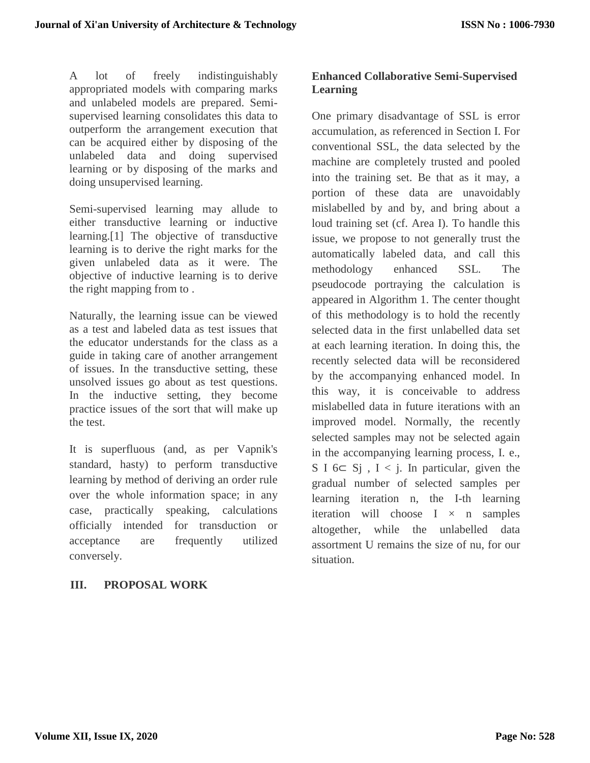A lot of freely indistinguishably appropriated models with comparing marks and unlabeled models are prepared. Semisupervised learning consolidates this data to outperform the arrangement execution that can be acquired either by disposing of the unlabeled data and doing supervised learning or by disposing of the marks and doing unsupervised learning.

Semi-supervised learning may allude to either transductive learning or inductive learning.[1] The objective of transductive learning is to derive the right marks for the given unlabeled data as it were. The objective of inductive learning is to derive the right mapping from to .

Naturally, the learning issue can be viewed as a test and labeled data as test issues that the educator understands for the class as a guide in taking care of another arrangement of issues. In the transductive setting, these unsolved issues go about as test questions. In the inductive setting, they become practice issues of the sort that will make up the test.

It is superfluous (and, as per Vapnik's standard, hasty) to perform transductive learning by method of deriving an order rule over the whole information space; in any case, practically speaking, calculations officially intended for transduction or acceptance are frequently utilized conversely.

# **III. PROPOSAL WORK**

# **Enhanced Collaborative Semi-Supervised Learning**

One primary disadvantage of SSL is error accumulation, as referenced in Section I. For conventional SSL, the data selected by the machine are completely trusted and pooled into the training set. Be that as it may, a portion of these data are unavoidably mislabelled by and by, and bring about a loud training set (cf. Area I). To handle this issue, we propose to not generally trust the automatically labeled data, and call this methodology enhanced SSL. The pseudocode portraying the calculation is appeared in Algorithm 1. The center thought of this methodology is to hold the recently selected data in the first unlabelled data set at each learning iteration. In doing this, the recently selected data will be reconsidered by the accompanying enhanced model. In this way, it is conceivable to address mislabelled data in future iterations with an improved model. Normally, the recently selected samples may not be selected again in the accompanying learning process, I. e., S I  $6 \subset$  S<sub>j</sub>, I < j. In particular, given the gradual number of selected samples per learning iteration n, the I-th learning iteration will choose  $I \times n$  samples altogether, while the unlabelled data assortment U remains the size of nu, for our situation.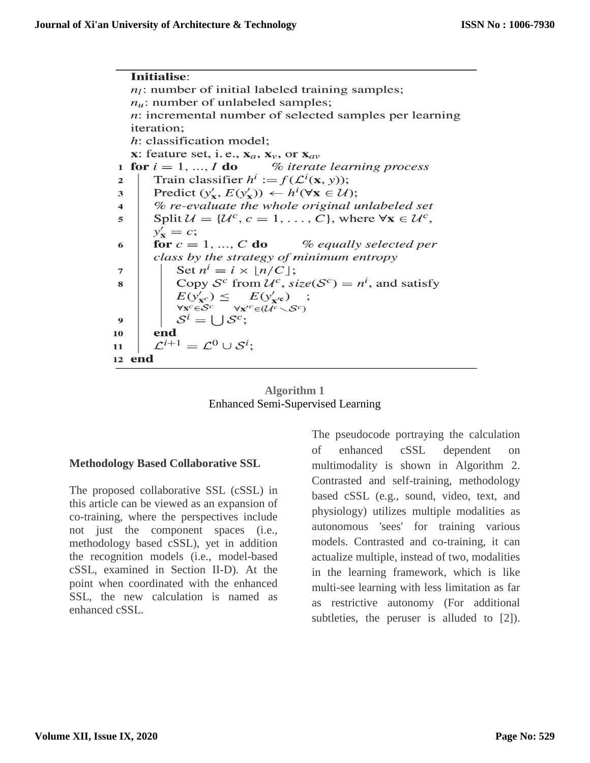Initialise:  $n_l$ : number of initial labeled training samples;  $n_u$ : number of unlabeled samples;  $n$ : incremental number of selected samples per learning iteration; h: classification model; x: feature set, i.e.,  $x_a$ ,  $x_v$ , or  $x_{av}$ for  $i = 1, ..., I$  do % iterate learning process 1 Train classifier  $h^i := f(\mathcal{L}^i(\mathbf{x}, y));$  $\overline{\mathbf{c}}$ Predict  $(y'_x, E(y'_x)) \leftarrow h^i(\forall x \in \mathcal{U});$ 3 % re-evaluate the whole original unlabeled set  $\overline{\mathbf{4}}$ Split  $\mathcal{U} = \{ \mathcal{U}^c, c = 1, ..., C \}$ , where  $\forall x \in \mathcal{U}^c$ , 5  $y'_{\mathbf{x}}=c;$ for  $c = 1, ..., C$  do % equally selected per 6 class by the strategy of minimum entropy Set  $n^i = i \times \lfloor n/C \rfloor$ ; 7 Copy  $S^c$  from  $\mathcal{U}^c$ , size( $S^c$ ) =  $n^i$ , and satisfy 8  $E(y'_{\mathbf{x}^c}) \leq$  $E(y'_{\mathbf{x}'\mathbf{c}})$  $\forall \mathbf{x}^c \in \mathcal{S}^c$   $\forall \mathbf{x}'^c \in (\mathcal{U}^c \setminus \mathcal{S}^c)$  $S^i = \bigcup S^c;$ 9 end 10  $\mathcal{L}^{i+1} = \mathcal{L}^0 \cup \mathcal{S}^i;$ 11 12 end

#### **Algorithm 1** Enhanced Semi-Supervised Learning

## **Methodology Based Collaborative SSL**

The proposed collaborative SSL (cSSL) in this article can be viewed as an expansion of co-training, where the perspectives include not just the component spaces (i.e., methodology based cSSL), yet in addition the recognition models (i.e., model-based cSSL, examined in Section II-D). At the point when coordinated with the enhanced SSL, the new calculation is named as enhanced cSSL.

The pseudocode portraying the calculation of enhanced cSSL dependent on multimodality is shown in Algorithm 2. Contrasted and self-training, methodology based cSSL (e.g., sound, video, text, and physiology) utilizes multiple modalities as autonomous 'sees' for training various models. Contrasted and co-training, it can actualize multiple, instead of two, modalities in the learning framework, which is like multi-see learning with less limitation as far as restrictive autonomy (For additional subtleties, the peruser is alluded to [2]).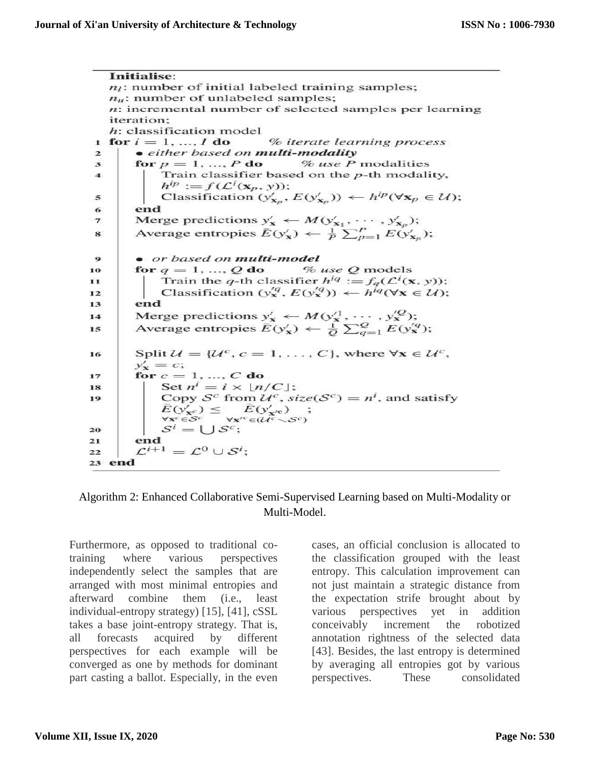Initialise:  $n_l$ : number of initial labeled training samples;  $n_u$ : number of unlabeled samples;  $n$ : incremental number of selected samples per learning iteration:  $h$ : classification model % iterate learning process 1 for  $i = 1, ..., I$  do · either based on multi-modality  $\overline{z}$ for  $p = 1, ..., P$  do % use P modalities  $\overline{\mathbf{3}}$ Train classifier based on the  $p$ -th modality,  $\boldsymbol{4}$  $h^{ip} := f(\mathcal{L}^i(\mathbf{x}_p, y));$ Classification  $(y'_{\mathbf{x}_p}, E(y'_{\mathbf{x}_p})) \leftarrow h^{ip}(\forall \mathbf{x}_p \in \mathcal{U});$  $\leq$ end 6 Merge predictions  $y'_x \leftarrow M(y'_{x_1}, \dots, y'_{x_n});$  $\overline{\overline{z}}$ Average entropies  $\overline{E}(y'_x) \leftarrow \frac{1}{P} \sum_{p=1}^P E(y'_{x_p});$ 8 • or based on multi-model  $\bullet$ % use Q models for  $q = 1, ..., Q$  do 10 Train the q-th classifier  $h^{iq} := f_q(\mathcal{L}^i(\mathbf{x}, y))$ ;  $11$ Classification  $(y_{\mathbf{x}}^{'q}, E(y_{\mathbf{x}}^{'q})) \leftarrow h^{iq}(\forall \mathbf{x} \in \mathcal{U});$  $12$ end  $13$ Merge predictions  $y'_x \leftarrow M(y_1^1, \dots, y_x^{\prime Q})$ ;<br>Average entropies  $\overline{E}(y'_x) \leftarrow \frac{1}{Q} \sum_{q=1}^{Q} E(y_x^{\prime q})$ ;  $14$  $15$ Split  $\mathcal{U} = {\mathcal{U}^c, c = 1, ..., C}$ , where  $\forall x \in \mathcal{U}^c$ , 16  $y'_{\mathbf{x}}=c;$ for  $c = 1, ..., C$  do  $17$ Set  $n^i = i \times \lfloor n/C \rfloor$ ; 18 Copy  $S^c$  from  $\mathcal{U}^c$ , size( $S^c$ ) =  $n^i$ , and satisfy 19  $\bar{E}(y'_{\mathbf{x}^c}) \leq \bar{E}(y'_{\mathbf{x}'c})$  $\forall x^c \in S^c$  $\forall x'^c \in \mathcal{U}^c \setminus \mathcal{S}^c$  $\mathcal{S}^i = \bigcup \mathcal{S}^c;$ 20 end 21  $\mathcal{L}^{i+1} = \mathcal{L}^0 \cup \mathcal{S}^i;$ 22 23 end

## Algorithm 2: Enhanced Collaborative Semi-Supervised Learning based on Multi-Modality or Multi-Model.

Furthermore, as opposed to traditional cotraining where various perspectives independently select the samples that are arranged with most minimal entropies and afterward combine them (i.e., least individual-entropy strategy) [15], [41], cSSL takes a base joint-entropy strategy. That is, all forecasts acquired by different perspectives for each example will be converged as one by methods for dominant part casting a ballot. Especially, in the even

cases, an official conclusion is allocated to the classification grouped with the least entropy. This calculation improvement can not just maintain a strategic distance from the expectation strife brought about by various perspectives yet in addition conceivably increment the robotized annotation rightness of the selected data [43]. Besides, the last entropy is determined by averaging all entropies got by various perspectives. These consolidated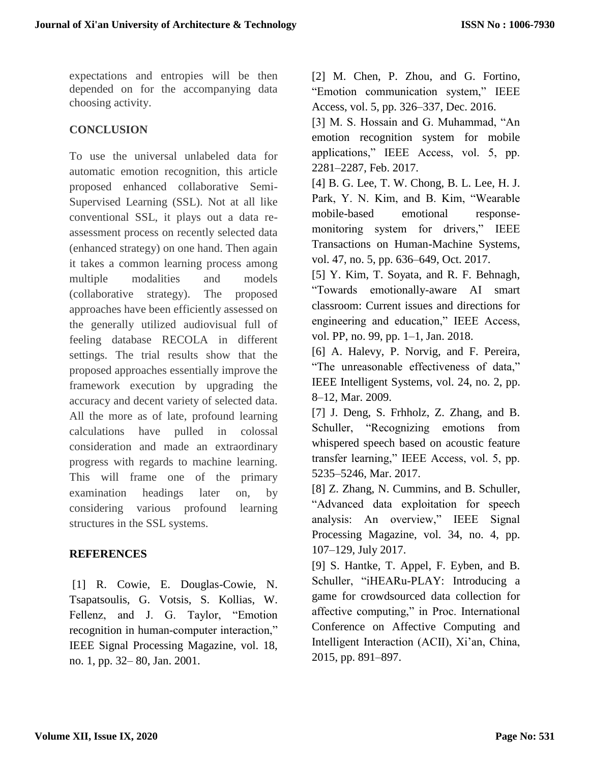expectations and entropies will be then depended on for the accompanying data choosing activity.

# **CONCLUSION**

To use the universal unlabeled data for automatic emotion recognition, this article proposed enhanced collaborative Semi-Supervised Learning (SSL). Not at all like conventional SSL, it plays out a data reassessment process on recently selected data (enhanced strategy) on one hand. Then again it takes a common learning process among multiple modalities and models (collaborative strategy). The proposed approaches have been efficiently assessed on the generally utilized audiovisual full of feeling database RECOLA in different settings. The trial results show that the proposed approaches essentially improve the framework execution by upgrading the accuracy and decent variety of selected data. All the more as of late, profound learning calculations have pulled in colossal consideration and made an extraordinary progress with regards to machine learning. This will frame one of the primary examination headings later on, by considering various profound learning structures in the SSL systems.

## **REFERENCES**

[1] R. Cowie, E. Douglas-Cowie, N. Tsapatsoulis, G. Votsis, S. Kollias, W. Fellenz, and J. G. Taylor, "Emotion recognition in human-computer interaction," IEEE Signal Processing Magazine, vol. 18, no. 1, pp. 32– 80, Jan. 2001.

[2] M. Chen, P. Zhou, and G. Fortino, "Emotion communication system," IEEE Access, vol. 5, pp. 326–337, Dec. 2016.

[3] M. S. Hossain and G. Muhammad, "An emotion recognition system for mobile applications," IEEE Access, vol. 5, pp. 2281–2287, Feb. 2017.

[4] B. G. Lee, T. W. Chong, B. L. Lee, H. J. Park, Y. N. Kim, and B. Kim, "Wearable mobile-based emotional responsemonitoring system for drivers," IEEE Transactions on Human-Machine Systems, vol. 47, no. 5, pp. 636–649, Oct. 2017.

[5] Y. Kim, T. Soyata, and R. F. Behnagh, "Towards emotionally-aware AI smart classroom: Current issues and directions for engineering and education," IEEE Access, vol. PP, no. 99, pp. 1–1, Jan. 2018.

[6] A. Halevy, P. Norvig, and F. Pereira, "The unreasonable effectiveness of data," IEEE Intelligent Systems, vol. 24, no. 2, pp. 8–12, Mar. 2009.

[7] J. Deng, S. Frhholz, Z. Zhang, and B. Schuller, "Recognizing emotions from whispered speech based on acoustic feature transfer learning," IEEE Access, vol. 5, pp. 5235–5246, Mar. 2017.

[8] Z. Zhang, N. Cummins, and B. Schuller, "Advanced data exploitation for speech analysis: An overview," IEEE Signal Processing Magazine, vol. 34, no. 4, pp. 107–129, July 2017.

[9] S. Hantke, T. Appel, F. Eyben, and B. Schuller, "iHEARu-PLAY: Introducing a game for crowdsourced data collection for affective computing," in Proc. International Conference on Affective Computing and Intelligent Interaction (ACII), Xi'an, China, 2015, pp. 891–897.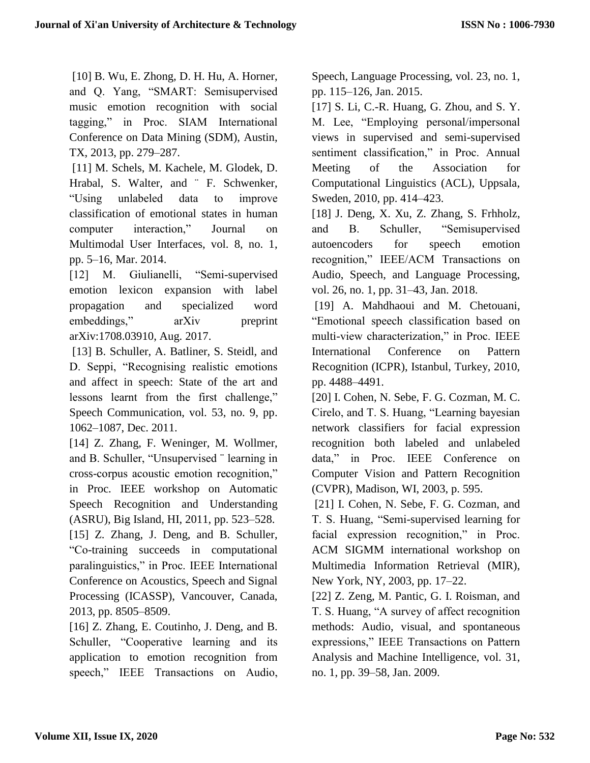[10] B. Wu, E. Zhong, D. H. Hu, A. Horner, and Q. Yang, "SMART: Semisupervised music emotion recognition with social tagging," in Proc. SIAM International Conference on Data Mining (SDM), Austin, TX, 2013, pp. 279–287.

[11] M. Schels, M. Kachele, M. Glodek, D. Hrabal, S. Walter, and "F. Schwenker, "Using unlabeled data to improve classification of emotional states in human computer interaction," Journal on Multimodal User Interfaces, vol. 8, no. 1, pp. 5–16, Mar. 2014.

[12] M. Giulianelli, "Semi-supervised emotion lexicon expansion with label propagation and specialized word embeddings," arXiv preprint arXiv:1708.03910, Aug. 2017.

[13] B. Schuller, A. Batliner, S. Steidl, and D. Seppi, "Recognising realistic emotions and affect in speech: State of the art and lessons learnt from the first challenge," Speech Communication, vol. 53, no. 9, pp. 1062–1087, Dec. 2011.

[14] Z. Zhang, F. Weninger, M. Wollmer, and B. Schuller, "Unsupervised ¨ learning in cross-corpus acoustic emotion recognition," in Proc. IEEE workshop on Automatic Speech Recognition and Understanding (ASRU), Big Island, HI, 2011, pp. 523–528.

[15] Z. Zhang, J. Deng, and B. Schuller, "Co-training succeeds in computational paralinguistics," in Proc. IEEE International Conference on Acoustics, Speech and Signal Processing (ICASSP), Vancouver, Canada, 2013, pp. 8505–8509.

[16] Z. Zhang, E. Coutinho, J. Deng, and B. Schuller, "Cooperative learning and its application to emotion recognition from speech," IEEE Transactions on Audio,

Speech, Language Processing, vol. 23, no. 1, pp. 115–126, Jan. 2015.

[17] S. Li, C.-R. Huang, G. Zhou, and S. Y. M. Lee, "Employing personal/impersonal views in supervised and semi-supervised sentiment classification," in Proc. Annual Meeting of the Association for Computational Linguistics (ACL), Uppsala, Sweden, 2010, pp. 414–423.

[18] J. Deng, X. Xu, Z. Zhang, S. Frhholz, and B. Schuller, "Semisupervised autoencoders for speech emotion recognition," IEEE/ACM Transactions on Audio, Speech, and Language Processing, vol. 26, no. 1, pp. 31–43, Jan. 2018.

[19] A. Mahdhaoui and M. Chetouani, "Emotional speech classification based on multi-view characterization," in Proc. IEEE International Conference on Pattern Recognition (ICPR), Istanbul, Turkey, 2010, pp. 4488–4491.

[20] I. Cohen, N. Sebe, F. G. Cozman, M. C. Cirelo, and T. S. Huang, "Learning bayesian network classifiers for facial expression recognition both labeled and unlabeled data," in Proc. IEEE Conference on Computer Vision and Pattern Recognition (CVPR), Madison, WI, 2003, p. 595.

[21] I. Cohen, N. Sebe, F. G. Cozman, and T. S. Huang, "Semi-supervised learning for facial expression recognition," in Proc. ACM SIGMM international workshop on Multimedia Information Retrieval (MIR), New York, NY, 2003, pp. 17–22.

[22] Z. Zeng, M. Pantic, G. I. Roisman, and T. S. Huang, "A survey of affect recognition methods: Audio, visual, and spontaneous expressions," IEEE Transactions on Pattern Analysis and Machine Intelligence, vol. 31, no. 1, pp. 39–58, Jan. 2009.